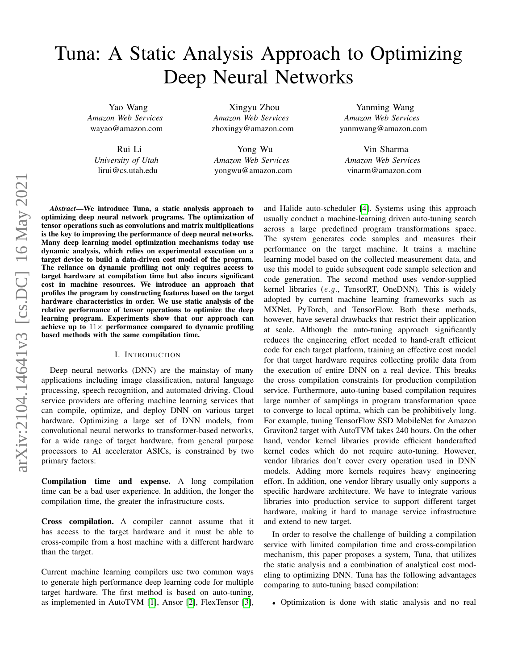# Tuna: A Static Analysis Approach to Optimizing Deep Neural Networks

Yao Wang *Amazon Web Services* wayao@amazon.com

> Rui Li *University of Utah* lirui@cs.utah.edu

Xingyu Zhou *Amazon Web Services* zhoxingy@amazon.com

Yong Wu *Amazon Web Services* yongwu@amazon.com

Yanming Wang *Amazon Web Services* yanmwang@amazon.com

Vin Sharma *Amazon Web Services* vinarm@amazon.com

*Abstract*—We introduce Tuna, a static analysis approach to optimizing deep neural network programs. The optimization of tensor operations such as convolutions and matrix multiplications is the key to improving the performance of deep neural networks. Many deep learning model optimization mechanisms today use dynamic analysis, which relies on experimental execution on a target device to build a data-driven cost model of the program. The reliance on dynamic profiling not only requires access to target hardware at compilation time but also incurs significant cost in machine resources. We introduce an approach that profiles the program by constructing features based on the target hardware characteristics in order. We use static analysis of the relative performance of tensor operations to optimize the deep learning program. Experiments show that our approach can achieve up to  $11\times$  performance compared to dynamic profiling based methods with the same compilation time.

# I. INTRODUCTION

Deep neural networks (DNN) are the mainstay of many applications including image classification, natural language processing, speech recognition, and automated driving. Cloud service providers are offering machine learning services that can compile, optimize, and deploy DNN on various target hardware. Optimizing a large set of DNN models, from convolutional neural networks to transformer-based networks, for a wide range of target hardware, from general purpose processors to AI accelerator ASICs, is constrained by two primary factors:

Compilation time and expense. A long compilation time can be a bad user experience. In addition, the longer the compilation time, the greater the infrastructure costs.

Cross compilation. A compiler cannot assume that it has access to the target hardware and it must be able to cross-compile from a host machine with a different hardware than the target.

Current machine learning compilers use two common ways to generate high performance deep learning code for multiple target hardware. The first method is based on auto-tuning, as implemented in AutoTVM [\[1\]](#page-9-0), Ansor [\[2\]](#page-9-1), FlexTensor [\[3\]](#page-10-0), and Halide auto-scheduler [\[4\]](#page-10-1). Systems using this approach usually conduct a machine-learning driven auto-tuning search across a large predefined program transformations space. The system generates code samples and measures their performance on the target machine. It trains a machine learning model based on the collected measurement data, and use this model to guide subsequent code sample selection and code generation. The second method uses vendor-supplied kernel libraries (e.g., TensorRT, OneDNN). This is widely adopted by current machine learning frameworks such as MXNet, PyTorch, and TensorFlow. Both these methods, however, have several drawbacks that restrict their application at scale. Although the auto-tuning approach significantly reduces the engineering effort needed to hand-craft efficient code for each target platform, training an effective cost model for that target hardware requires collecting profile data from the execution of entire DNN on a real device. This breaks the cross compilation constraints for production compilation service. Furthermore, auto-tuning based compilation requires large number of samplings in program transformation space to converge to local optima, which can be prohibitively long. For example, tuning TensorFlow SSD MobileNet for Amazon Graviton2 target with AutoTVM takes 240 hours. On the other hand, vendor kernel libraries provide efficient handcrafted kernel codes which do not require auto-tuning. However, vendor libraries don't cover every operation used in DNN models. Adding more kernels requires heavy engineering effort. In addition, one vendor library usually only supports a specific hardware architecture. We have to integrate various libraries into production service to support different target hardware, making it hard to manage service infrastructure and extend to new target.

In order to resolve the challenge of building a compilation service with limited compilation time and cross-compilation mechanism, this paper proposes a system, Tuna, that utilizes the static analysis and a combination of analytical cost modeling to optimizing DNN. Tuna has the following advantages comparing to auto-tuning based compilation:

• Optimization is done with static analysis and no real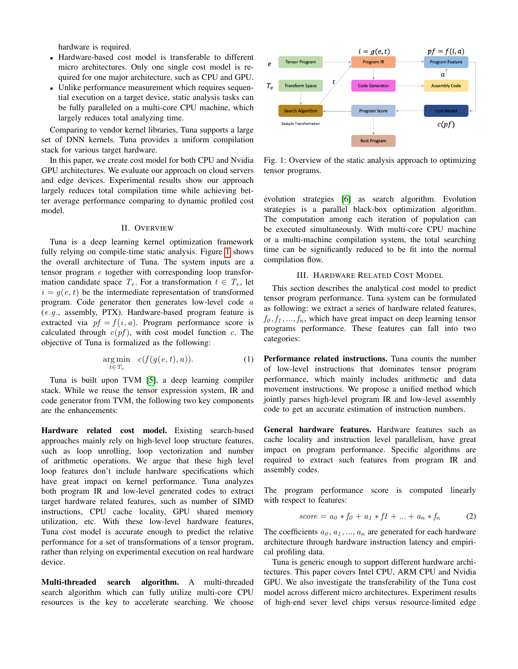hardware is required.

- Hardware-based cost model is transferable to different micro architectures. Only one single cost model is required for one major architecture, such as CPU and GPU.
- Unlike performance measurement which requires sequential execution on a target device, static analysis tasks can be fully paralleled on a multi-core CPU machine, which largely reduces total analyzing time.

Comparing to vendor kernel libraries, Tuna supports a large set of DNN kernels. Tuna provides a uniform compilation stack for various target hardware.

In this paper, we create cost model for both CPU and Nvidia GPU architectures. We evaluate our approach on cloud servers and edge devices. Experimental results show our approach largely reduces total compilation time while achieving better average performance comparing to dynamic profiled cost model.

# II. OVERVIEW

Tuna is a deep learning kernel optimization framework fully relying on compile-time static analysis. Figure [1](#page-1-0) shows the overall architecture of Tuna. The system inputs are a tensor program e together with corresponding loop transformation candidate space  $T_e$ . For a transformation  $t \in T_e$ , let  $i = g(e, t)$  be the intermediate representation of transformed program. Code generator then generates low-level code a  $(e.g.,$  assembly, PTX). Hardware-based program feature is extracted via  $pf = f(i, a)$ . Program performance score is calculated through  $c(pt)$ , with cost model function c. The objective of Tuna is formalized as the following:

$$
\underset{t \in T_e}{\arg \min} \quad c(f(g(e, t), a)). \tag{1}
$$

Tuna is built upon TVM [\[5\]](#page-10-2), a deep learning compiler stack. While we reuse the tensor expression system, IR and code generator from TVM, the following two key components are the enhancements:

Hardware related cost model. Existing search-based approaches mainly rely on high-level loop structure features, such as loop unrolling, loop vectorization and number of arithmetic operations. We argue that these high level loop features don't include hardware specifications which have great impact on kernel performance. Tuna analyzes both program IR and low-level generated codes to extract target hardware related features, such as number of SIMD instructions, CPU cache locality, GPU shared memory utilization, etc. With these low-level hardware features, Tuna cost model is accurate enough to predict the relative performance for a set of transformations of a tensor program, rather than relying on experimental execution on real hardware device.

Multi-threaded search algorithm. A multi-threaded search algorithm which can fully utilize multi-core CPU resources is the key to accelerate searching. We choose

<span id="page-1-0"></span>

Fig. 1: Overview of the static analysis approach to optimizing tensor programs.

evolution strategies [\[6\]](#page-10-3) as search algorithm. Evolution strategies is a parallel black-box optimization algorithm. The computation among each iteration of population can be executed simultaneously. With multi-core CPU machine or a multi-machine compilation system, the total searching time can be significantly reduced to be fit into the normal compilation flow.

# III. HARDWARE RELATED COST MODEL

This section describes the analytical cost model to predict tensor program performance. Tuna system can be formulated as following: we extract a series of hardware related features,  $f_0, f_1, \ldots, f_n$ , which have great impact on deep learning tensor programs performance. These features can fall into two categories:

Performance related instructions. Tuna counts the number of low-level instructions that dominates tensor program performance, which mainly includes arithmetic and data movement instructions. We propose a unified method which jointly parses high-level program IR and low-level assembly code to get an accurate estimation of instruction numbers.

General hardware features. Hardware features such as cache locality and instruction level parallelism, have great impact on program performance. Specific algorithms are required to extract such features from program IR and assembly codes.

The program performance score is computed linearly with respect to features:

$$
score = a_0 * f_0 + a_1 * f_1 + \dots + a_n * f_n \tag{2}
$$

The coefficients  $a_0, a_1, ..., a_n$  are generated for each hardware architecture through hardware instruction latency and empirical profiling data.

Tuna is generic enough to support different hardware architectures. This paper covers Intel CPU, ARM CPU and Nvidia GPU. We also investigate the transferability of the Tuna cost model across different micro architectures. Experiment results of high-end sever level chips versus resource-limited edge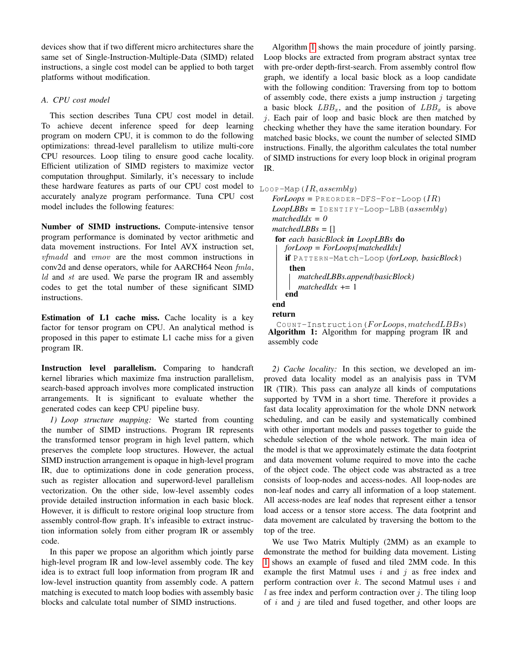devices show that if two different micro architectures share the same set of Single-Instruction-Multiple-Data (SIMD) related instructions, a single cost model can be applied to both target platforms without modification.

# *A. CPU cost model*

This section describes Tuna CPU cost model in detail. To achieve decent inference speed for deep learning program on modern CPU, it is common to do the following optimizations: thread-level parallelism to utilize multi-core CPU resources. Loop tiling to ensure good cache locality. Efficient utilization of SIMD registers to maximize vector computation throughput. Similarly, it's necessary to include these hardware features as parts of our CPU cost model to accurately analyze program performance. Tuna CPU cost model includes the following features:

Number of SIMD instructions. Compute-intensive tensor program performance is dominated by vector arithmetic and data movement instructions. For Intel AVX instruction set, vfmadd and vmov are the most common instructions in conv2d and dense operators, while for AARCH64 Neon fmla,  $ld$  and  $st$  are used. We parse the program IR and assembly codes to get the total number of these significant SIMD instructions.

Estimation of L1 cache miss. Cache locality is a key factor for tensor program on CPU. An analytical method is proposed in this paper to estimate L1 cache miss for a given program IR.

Instruction level parallelism. Comparing to handcraft kernel libraries which maximize fma instruction parallelism, search-based approach involves more complicated instruction arrangements. It is significant to evaluate whether the generated codes can keep CPU pipeline busy.

*1) Loop structure mapping:* We started from counting the number of SIMD instructions. Program IR represents the transformed tensor program in high level pattern, which preserves the complete loop structures. However, the actual SIMD instruction arrangement is opaque in high-level program IR, due to optimizations done in code generation process, such as register allocation and superword-level parallelism vectorization. On the other side, low-level assembly codes provide detailed instruction information in each basic block. However, it is difficult to restore original loop structure from assembly control-flow graph. It's infeasible to extract instruction information solely from either program IR or assembly code.

In this paper we propose an algorithm which jointly parse high-level program IR and low-level assembly code. The key idea is to extract full loop information from program IR and low-level instruction quantity from assembly code. A pattern matching is executed to match loop bodies with assembly basic blocks and calculate total number of SIMD instructions.

Algorithm [1](#page-2-0) shows the main procedure of jointly parsing. Loop blocks are extracted from program abstract syntax tree with pre-order depth-first-search. From assembly control flow graph, we identify a local basic block as a loop candidate with the following condition: Traversing from top to bottom of assembly code, there exists a jump instruction  $j$  targeting a basic block  $LBB_x$ , and the position of  $LBB_x$  is above  $i$ . Each pair of loop and basic block are then matched by checking whether they have the same iteration boundary. For matched basic blocks, we count the number of selected SIMD instructions. Finally, the algorithm calculates the total number of SIMD instructions for every loop block in original program IR.

```
LOOP-Map(IR, assembly)
```

```
For Loops = PREORDER-DFS-For-Loop (IR)Loop LBBs = IDENTIFY-Loop-LBB (assembly)
matchedIdx = 0
matchedLBBs = []
for each basicBlock in LoopLBBs do
   forLoop = ForLoops[matchedIdx]
   if PA T T E R N-Match-Loop(forLoop, basicBlock)
    then
      matchedLBBs.append(basicBlock)
      matchedIdx += 1
   end
end
return
```
<span id="page-2-0"></span>COUNT-Instruction( $For Loops, matched LBBs$ ) Algorithm 1: Algorithm for mapping program IR and assembly code

*2) Cache locality:* In this section, we developed an improved data locality model as an analyisis pass in TVM IR (TIR). This pass can analyze all kinds of computations supported by TVM in a short time. Therefore it provides a fast data locality approximation for the whole DNN network scheduling, and can be easily and systematically combined with other important models and passes together to guide the schedule selection of the whole network. The main idea of the model is that we approximately estimate the data footprint and data movement volume required to move into the cache of the object code. The object code was abstracted as a tree consists of loop-nodes and access-nodes. All loop-nodes are non-leaf nodes and carry all information of a loop statement. All access-nodes are leaf nodes that represent either a tensor load access or a tensor store access. The data footprint and data movement are calculated by traversing the bottom to the top of the tree.

We use Two Matrix Multiply (2MM) as an example to demonstrate the method for building data movement. Listing [1](#page-3-0) shows an example of fused and tiled 2MM code. In this example the first Matmul uses  $i$  and  $j$  as free index and perform contraction over  $k$ . The second Matmul uses  $i$  and  $l$  as free index and perform contraction over  $j$ . The tiling loop of  $i$  and  $j$  are tiled and fused together, and other loops are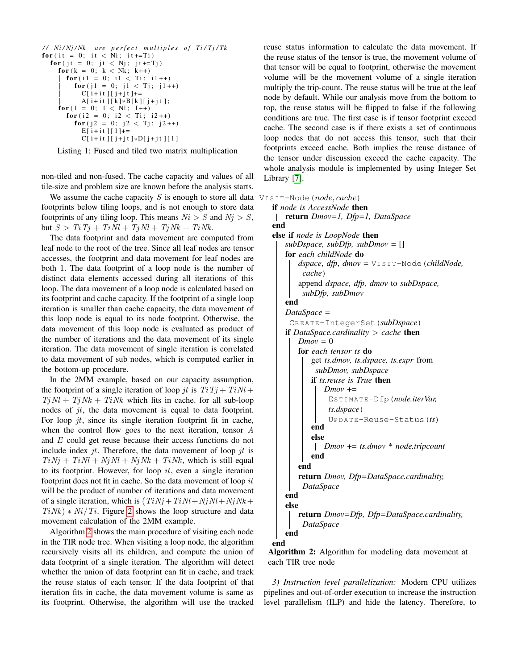```
// Ni/Nj/Nk are perfect multiples of Ti/Tj/Tk
for (it = 0; it < Ni; it +=Ti)
  for ( jt = 0; jt < Nj; jt += Tj)
    for (k = 0; k < Nk; k++)for (i1 = 0; i1 < Ti; i1++)for (j1 = 0; j1 < Tj; j1++)C[i + it][j + jt] +=A[i + it][k] * B[k][j + jt];for (1 = 0; 1 < N1; 1++)for (i2 = 0; i2 < Ti; i2++)for (j2 = 0; j2 < Tj; j2++)E[i + it][1]+=C[ i + i t ] [ j + j t ] *D[ j + j t ] [ 1 ]
```
Listing 1: Fused and tiled two matrix multiplication

non-tiled and non-fused. The cache capacity and values of all tile-size and problem size are known before the analysis starts.

We assume the cache capacity  $S$  is enough to store all data footprints below tiling loops, and is not enough to store data footprints of any tiling loop. This means  $Ni > S$  and  $Nj > S$ , but  $S > TiTj + TiNl + TjNl + TjNk + TiNk$ .

The data footprint and data movement are computed from leaf node to the root of the tree. Since all leaf nodes are tensor accesses, the footprint and data movement for leaf nodes are both 1. The data footprint of a loop node is the number of distinct data elements accessed during all iterations of this loop. The data movement of a loop node is calculated based on its footprint and cache capacity. If the footprint of a single loop iteration is smaller than cache capacity, the data movement of this loop node is equal to its node footprint. Otherwise, the data movement of this loop node is evaluated as product of the number of iterations and the data movement of its single iteration. The data movement of single iteration is correlated to data movement of sub nodes, which is computed earlier in the bottom-up procedure.

In the 2MM example, based on our capacity assumption, the footprint of a single iteration of loop jt is  $Ti Tj + TiNl +$  $Tj$   $Nl$  +  $Tj$   $Nk$  +  $Ti$   $Nk$  which fits in cache. for all sub-loop nodes of jt, the data movement is equal to data footprint. For loop  $jt$ , since its single iteration footprint fit in cache, when the control flow goes to the next iteration, tensor A and E could get reuse because their access functions do not include index  $jt$ . Therefore, the data movement of loop  $jt$  is  $TiNj + TiNl + NjNl + NjNk + TiNk$ , which is still equal to its footprint. However, for loop  $it$ , even a single iteration footprint does not fit in cache. So the data movement of loop  $it$ will be the product of number of iterations and data movement of a single iteration, which is  $(TiNj + TiNl + NjNl + NjNk +$  $Ti Nk$ ) \*  $Ni/Ti$ . Figure [2](#page-4-0) shows the loop structure and data movement calculation of the 2MM example.

Algorithm [2](#page-3-1) shows the main procedure of visiting each node in the TIR node tree. When visiting a loop node, the algorithm recursively visits all its children, and compute the union of data footprint of a single iteration. The algorithm will detect whether the union of data footprint can fit in cache, and track the reuse status of each tensor. If the data footprint of that iteration fits in cache, the data movement volume is same as its footprint. Otherwise, the algorithm will use the tracked reuse status information to calculate the data movement. If the reuse status of the tensor is true, the movement volume of that tensor will be equal to footprint, otherwise the movement volume will be the movement volume of a single iteration multiply the trip-count. The reuse status will be true at the leaf node by default. While our analysis move from the bottom to top, the reuse status will be flipped to false if the following conditions are true. The first case is if tensor footprint exceed cache. The second case is if there exists a set of continuous loop nodes that do not access this tensor, such that their footprints exceed cache. Both implies the reuse distance of the tensor under discussion exceed the cache capacity. The whole analysis module is implemented by using Integer Set Library [\[7\]](#page-10-4).

 $VISIT-Node(node, cache)$ 

| <b>if</b> node is AccessNode <b>then</b>              |
|-------------------------------------------------------|
| return $Dmov=1$ , $Dfp=1$ , $DataSpace$               |
| end                                                   |
| else if node is LoopNode then                         |
| $subDspace, subDfp, subDmov = []$                     |
| for each childNode do                                 |
| $dspace, dfp, dmov = VISIT-Node (childNode,$          |
| cache)                                                |
| append dspace, dfp, dmov to subDspace,                |
| subDfp, subDmov                                       |
| end                                                   |
| $DataSpace =$                                         |
| CREATE-IntegerSet (subDspace)                         |
| <b>if</b> DataSpace.cardinality $>$ cache <b>then</b> |
| $Dmov = 0$                                            |
| <b>for</b> each tensor ts <b>do</b>                   |
| get ts.dmov, ts.dspace, ts.expr from                  |
| subDmov, subDspace                                    |
| if ts.reuse is True then                              |
| $Dmov +=$                                             |
| ESTIMATE-Dfp(node.iterVar,                            |
| ts.dspace)                                            |
| $UPDATE-Reuse-Status (ts)$                            |
| end                                                   |
| else                                                  |
| $Dmov == ts.dmov * node-tripcount$                    |
| end                                                   |
| end                                                   |
| return Dmov, Dfp=DataSpace.cardinality,               |
| DataSpace                                             |
| end                                                   |
| else                                                  |
| <b>return</b> Dmov=Dfp, Dfp=DataSpace.cardinality,    |
| DataSpace                                             |
| end                                                   |
| end                                                   |

<span id="page-3-1"></span>Algorithm 2: Algorithm for modeling data movement at each TIR tree node

*3) Instruction level parallelization:* Modern CPU utilizes pipelines and out-of-order execution to increase the instruction level parallelism (ILP) and hide the latency. Therefore, to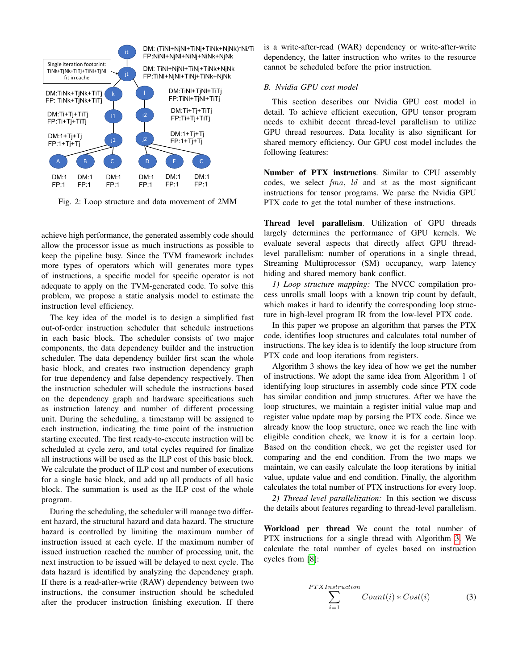<span id="page-4-0"></span>

Fig. 2: Loop structure and data movement of 2MM

achieve high performance, the generated assembly code should allow the processor issue as much instructions as possible to keep the pipeline busy. Since the TVM framework includes more types of operators which will generates more types of instructions, a specific model for specific operator is not adequate to apply on the TVM-generated code. To solve this problem, we propose a static analysis model to estimate the instruction level efficiency.

The key idea of the model is to design a simplified fast out-of-order instruction scheduler that schedule instructions in each basic block. The scheduler consists of two major components, the data dependency builder and the instruction scheduler. The data dependency builder first scan the whole basic block, and creates two instruction dependency graph for true dependency and false dependency respectively. Then the instruction scheduler will schedule the instructions based on the dependency graph and hardware specifications such as instruction latency and number of different processing unit. During the scheduling, a timestamp will be assigned to each instruction, indicating the time point of the instruction starting executed. The first ready-to-execute instruction will be scheduled at cycle zero, and total cycles required for finalize all instructions will be used as the ILP cost of this basic block. We calculate the product of ILP cost and number of executions for a single basic block, and add up all products of all basic block. The summation is used as the ILP cost of the whole program.

During the scheduling, the scheduler will manage two different hazard, the structural hazard and data hazard. The structure hazard is controlled by limiting the maximum number of instruction issued at each cycle. If the maximum number of issued instruction reached the number of processing unit, the next instruction to be issued will be delayed to next cycle. The data hazard is identified by analyzing the dependency graph. If there is a read-after-write (RAW) dependency between two instructions, the consumer instruction should be scheduled after the producer instruction finishing execution. If there

is a write-after-read (WAR) dependency or write-after-write dependency, the latter instruction who writes to the resource cannot be scheduled before the prior instruction.

# *B. Nvidia GPU cost model*

This section describes our Nvidia GPU cost model in detail. To achieve efficient execution, GPU tensor program needs to exhibit decent thread-level parallelism to utilize GPU thread resources. Data locality is also significant for shared memory efficiency. Our GPU cost model includes the following features:

Number of PTX instructions. Similar to CPU assembly codes, we select fma, ld and st as the most significant instructions for tensor programs. We parse the Nvidia GPU PTX code to get the total number of these instructions.

Thread level parallelism. Utilization of GPU threads largely determines the performance of GPU kernels. We evaluate several aspects that directly affect GPU threadlevel parallelism: number of operations in a single thread, Streaming Multiprocessor (SM) occupancy, warp latency hiding and shared memory bank conflict.

*1) Loop structure mapping:* The NVCC compilation process unrolls small loops with a known trip count by default, which makes it hard to identify the corresponding loop structure in high-level program IR from the low-level PTX code.

In this paper we propose an algorithm that parses the PTX code, identifies loop structures and calculates total number of instructions. The key idea is to identify the loop structure from PTX code and loop iterations from registers.

Algorithm 3 shows the key idea of how we get the number of instructions. We adopt the same idea from Algorithm 1 of identifying loop structures in assembly code since PTX code has similar condition and jump structures. After we have the loop structures, we maintain a register initial value map and register value update map by parsing the PTX code. Since we already know the loop structure, once we reach the line with eligible condition check, we know it is for a certain loop. Based on the condition check, we get the register used for comparing and the end condition. From the two maps we maintain, we can easily calculate the loop iterations by initial value, update value and end condition. Finally, the algorithm calculates the total number of PTX instructions for every loop.

*2) Thread level parallelization:* In this section we discuss the details about features regarding to thread-level parallelism.

Workload per thread We count the total number of PTX instructions for a single thread with Algorithm [3.](#page-5-0) We calculate the total number of cycles based on instruction cycles from [\[8\]](#page-10-5):

$$
\sum_{i=1}^{PYXInstruction} Count(i) * Cost(i)
$$
 (3)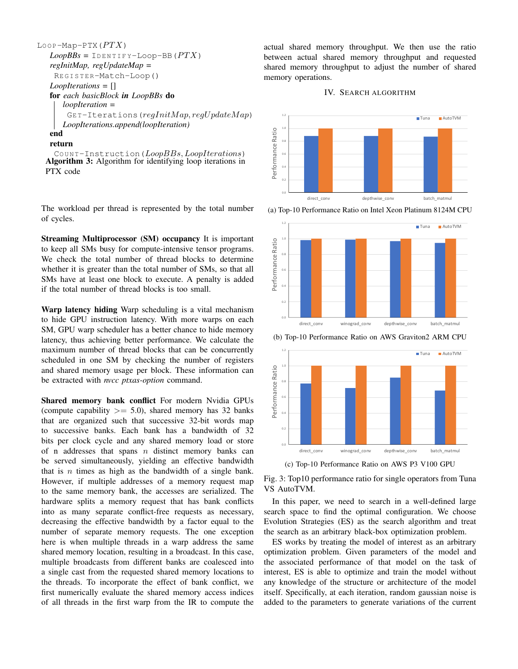```
Loop-Map-PTX(PTX)Loop BBS = IDENTIFY-Loop-BB(PTX)regInitMap, regUpdateMap =
    RE G I S T E R-Match-Loop()
   LoopIterations = []
   for each basicBlock in LoopBBs do
      loopIteration =
       GET-Iterations(<i>regInitMap</i>, <i>regUpdateMap</i>)LoopIterations.append(loopIteration)
   end
```
return

<span id="page-5-0"></span>COUNT-Instruction( $Loop BBs, Loop Iterations$ ) Algorithm 3: Algorithm for identifying loop iterations in PTX code

The workload per thread is represented by the total number of cycles.

Streaming Multiprocessor (SM) occupancy It is important to keep all SMs busy for compute-intensive tensor programs. We check the total number of thread blocks to determine whether it is greater than the total number of SMs, so that all SMs have at least one block to execute. A penalty is added if the total number of thread blocks is too small.

Warp latency hiding Warp scheduling is a vital mechanism to hide GPU instruction latency. With more warps on each SM, GPU warp scheduler has a better chance to hide memory latency, thus achieving better performance. We calculate the maximum number of thread blocks that can be concurrently scheduled in one SM by checking the number of registers and shared memory usage per block. These information can be extracted with *nvcc ptxas-option* command.

Shared memory bank conflict For modern Nvidia GPUs (compute capability  $\geq$  5.0), shared memory has 32 banks that are organized such that successive 32-bit words map to successive banks. Each bank has a bandwidth of 32 bits per clock cycle and any shared memory load or store of n addresses that spans  $n$  distinct memory banks can be served simultaneously, yielding an effective bandwidth that is  $n$  times as high as the bandwidth of a single bank. However, if multiple addresses of a memory request map to the same memory bank, the accesses are serialized. The hardware splits a memory request that has bank conflicts into as many separate conflict-free requests as necessary, decreasing the effective bandwidth by a factor equal to the number of separate memory requests. The one exception here is when multiple threads in a warp address the same shared memory location, resulting in a broadcast. In this case, multiple broadcasts from different banks are coalesced into a single cast from the requested shared memory locations to the threads. To incorporate the effect of bank conflict, we first numerically evaluate the shared memory access indices of all threads in the first warp from the IR to compute the

actual shared memory throughput. We then use the ratio between actual shared memory throughput and requested shared memory throughput to adjust the number of shared memory operations.

# IV. SEARCH ALGORITHM

<span id="page-5-1"></span>

(a) Top-10 Performance Ratio on Intel Xeon Platinum 8124M CPU



(b) Top-10 Performance Ratio on AWS Graviton2 ARM CPU



(c) Top-10 Performance Ratio on AWS P3 V100 GPU

Fig. 3: Top10 performance ratio for single operators from Tuna VS AutoTVM.

In this paper, we need to search in a well-defined large search space to find the optimal configuration. We choose Evolution Strategies (ES) as the search algorithm and treat the search as an arbitrary black-box optimization problem.

ES works by treating the model of interest as an arbitrary optimization problem. Given parameters of the model and the associated performance of that model on the task of interest, ES is able to optimize and train the model without any knowledge of the structure or architecture of the model itself. Specifically, at each iteration, random gaussian noise is added to the parameters to generate variations of the current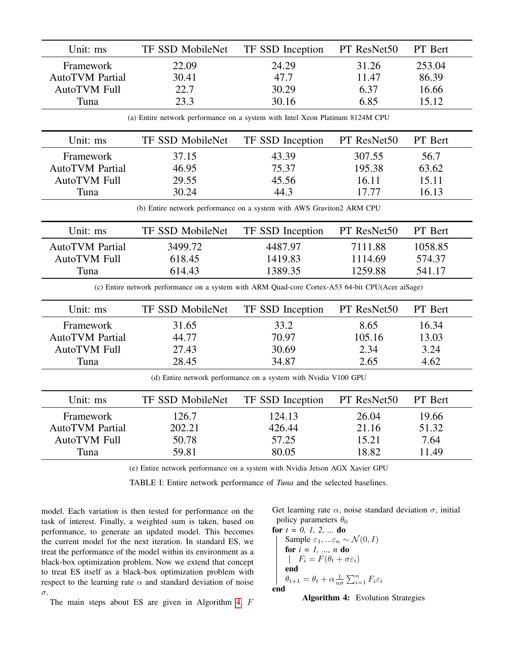| Unit: ms                                                                                         | TF SSD MobileNet | TF SSD Inception | PT ResNet50 | PT Bert |  |  |  |
|--------------------------------------------------------------------------------------------------|------------------|------------------|-------------|---------|--|--|--|
| Framework                                                                                        | 22.09            | 24.29            | 31.26       | 253.04  |  |  |  |
| <b>AutoTVM Partial</b>                                                                           | 30.41            | 47.7             | 11.47       | 86.39   |  |  |  |
| <b>AutoTVM Full</b>                                                                              | 22.7             | 30.29            | 6.37        | 16.66   |  |  |  |
| Tuna                                                                                             | 23.3             | 30.16            | 6.85        | 15.12   |  |  |  |
| (a) Entire network performance on a system with Intel Xeon Platinum 8124M CPU                    |                  |                  |             |         |  |  |  |
| Unit: ms                                                                                         | TF SSD MobileNet | TF SSD Inception | PT ResNet50 | PT Bert |  |  |  |
| Framework                                                                                        | 37.15            | 43.39            | 307.55      | 56.7    |  |  |  |
| <b>AutoTVM Partial</b>                                                                           | 46.95            | 75.37            | 195.38      | 63.62   |  |  |  |
| <b>AutoTVM Full</b>                                                                              | 29.55            | 45.56            | 16.11       | 15.11   |  |  |  |
| Tuna                                                                                             | 30.24            | 44.3             | 17.77       | 16.13   |  |  |  |
| (b) Entire network performance on a system with AWS Graviton2 ARM CPU                            |                  |                  |             |         |  |  |  |
| Unit: ms                                                                                         | TF SSD MobileNet | TF SSD Inception | PT ResNet50 | PT Bert |  |  |  |
| <b>AutoTVM</b> Partial                                                                           | 3499.72          | 4487.97          | 7111.88     | 1058.85 |  |  |  |
| <b>AutoTVM Full</b>                                                                              | 618.45           | 1419.83          | 1114.69     | 574.37  |  |  |  |
| Tuna                                                                                             | 614.43           | 1389.35          | 1259.88     | 541.17  |  |  |  |
| (c) Entire network performance on a system with ARM Quad-core Cortex-A53 64-bit CPU(Acer aiSage) |                  |                  |             |         |  |  |  |
| Unit: ms                                                                                         | TF SSD MobileNet | TF SSD Inception | PT ResNet50 | PT Bert |  |  |  |
| Framework                                                                                        | 31.65            | 33.2             | 8.65        | 16.34   |  |  |  |
| <b>AutoTVM Partial</b>                                                                           | 44.77            | 70.97            | 105.16      | 13.03   |  |  |  |
| <b>AutoTVM Full</b>                                                                              | 27.43            | 30.69            | 2.34        | 3.24    |  |  |  |
| Tuna                                                                                             | 28.45            | 34.87            | 2.65        | 4.62    |  |  |  |
| (d) Entire network performance on a system with Nvidia V100 GPU                                  |                  |                  |             |         |  |  |  |
| Unit: ms                                                                                         | TF SSD MobileNet | TF SSD Inception | PT ResNet50 | PT Bert |  |  |  |
| Framework                                                                                        | 126.7            | 124.13           | 26.04       | 19.66   |  |  |  |
| <b>AutoTVM Partial</b>                                                                           | 202.21           | 426.44           | 21.16       | 51.32   |  |  |  |
| <b>AutoTVM Full</b>                                                                              | 50.78            | 57.25            | 15.21       | 7.64    |  |  |  |
| Tuna                                                                                             | 59.81            | 80.05            | 18.82       | 11.49   |  |  |  |
| (e) Entire network performance on a system with Nvidia Jetson AGX Xavier GPU                     |                  |                  |             |         |  |  |  |

TABLE I: Entire network performance of *Tuna* and the selected baselines.

model. Each variation is then tested for performance on the task of interest. Finally, a weighted sum is taken, based on performance, to generate an updated model. This becomes the current model for the next iteration. In standard ES, we treat the performance of the model within its environment as a black-box optimization problem. Now we extend that concept to treat ES itself as a black-box optimization problem with respect to the learning rate  $\alpha$  and standard deviation of noise σ.

The main steps about ES are given in Algorithm [4,](#page-6-0) F

Get learning rate  $\alpha$ , noise standard deviation  $\sigma$ , initial policy parameters  $\theta_0$ <br>**for**  $t = 0, 1, 2, ...$  **do** 

**for** 
$$
t = 0, 1, 2, ...
$$
 **do**  
\n
$$
\begin{cases}\n\text{Sample } \varepsilon_1, ... \varepsilon_n \sim \mathcal{N}(0, I) \\
\text{for } i = 1, ..., n \text{ do} \\
\quad F_i = F(\theta_t + \sigma \varepsilon_i) \\
\text{end} \\
\theta_{t+1} = \theta_t + \alpha \frac{1}{n\sigma} \sum_{i=1}^n F_i \varepsilon_i\n\end{cases}
$$

<span id="page-6-0"></span>Algorithm 4: Evolution Strategies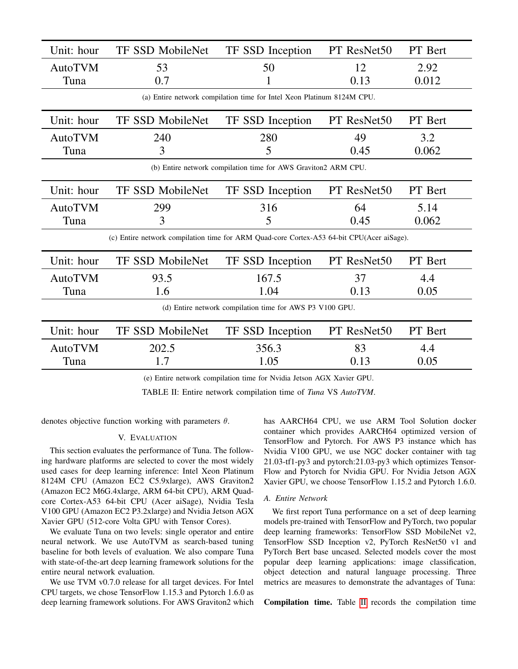<span id="page-7-0"></span>

| Unit: hour                                                                                | <b>TF SSD MobileNet</b> | TF SSD Inception | PT ResNet50 | PT Bert |  |  |
|-------------------------------------------------------------------------------------------|-------------------------|------------------|-------------|---------|--|--|
| <b>AutoTVM</b>                                                                            | 53                      | 50               | 12          | 2.92    |  |  |
| Tuna                                                                                      | 0.7                     |                  | 0.13        | 0.012   |  |  |
| (a) Entire network compilation time for Intel Xeon Platinum 8124M CPU.                    |                         |                  |             |         |  |  |
| Unit: hour                                                                                | <b>TF SSD MobileNet</b> | TF SSD Inception | PT ResNet50 | PT Bert |  |  |
| <b>AutoTVM</b>                                                                            | 240                     | 280              | 49          | 3.2     |  |  |
| Tuna                                                                                      | 3                       | 5                | 0.45        | 0.062   |  |  |
| (b) Entire network compilation time for AWS Graviton2 ARM CPU.                            |                         |                  |             |         |  |  |
| Unit: hour                                                                                | <b>TF SSD MobileNet</b> | TF SSD Inception | PT ResNet50 | PT Bert |  |  |
| <b>AutoTVM</b>                                                                            | 299                     | 316              | 64          | 5.14    |  |  |
| Tuna                                                                                      | 3                       | 5                | 0.45        | 0.062   |  |  |
| (c) Entire network compilation time for ARM Quad-core Cortex-A53 64-bit CPU(Acer aiSage). |                         |                  |             |         |  |  |
| Unit: hour                                                                                | <b>TF SSD MobileNet</b> | TF SSD Inception | PT ResNet50 | PT Bert |  |  |
| <b>AutoTVM</b>                                                                            | 93.5                    | 167.5            | 37          | 4.4     |  |  |
| Tuna                                                                                      | 1.6                     | 1.04             | 0.13        | 0.05    |  |  |
| (d) Entire network compilation time for AWS P3 V100 GPU.                                  |                         |                  |             |         |  |  |
| Unit: hour                                                                                | TF SSD MobileNet        | TF SSD Inception | PT ResNet50 | PT Bert |  |  |
| <b>AutoTVM</b>                                                                            | 202.5                   | 356.3            | 83          | 4.4     |  |  |
| Tuna                                                                                      | 1.7                     | 1.05             | 0.13        | 0.05    |  |  |
|                                                                                           |                         |                  |             |         |  |  |

(e) Entire network compilation time for Nvidia Jetson AGX Xavier GPU.

TABLE II: Entire network compilation time of *Tuna* VS *AutoTVM*.

denotes objective function working with parameters  $\theta$ .

# V. EVALUATION

This section evaluates the performance of Tuna. The following hardware platforms are selected to cover the most widely used cases for deep learning inference: Intel Xeon Platinum 8124M CPU (Amazon EC2 C5.9xlarge), AWS Graviton2 (Amazon EC2 M6G.4xlarge, ARM 64-bit CPU), ARM Quadcore Cortex-A53 64-bit CPU (Acer aiSage), Nvidia Tesla V100 GPU (Amazon EC2 P3.2xlarge) and Nvidia Jetson AGX Xavier GPU (512-core Volta GPU with Tensor Cores).

We evaluate Tuna on two levels: single operator and entire neural network. We use AutoTVM as search-based tuning baseline for both levels of evaluation. We also compare Tuna with state-of-the-art deep learning framework solutions for the entire neural network evaluation.

We use TVM v0.7.0 release for all target devices. For Intel CPU targets, we chose TensorFlow 1.15.3 and Pytorch 1.6.0 as deep learning framework solutions. For AWS Graviton2 which has AARCH64 CPU, we use ARM Tool Solution docker container which provides AARCH64 optimized version of TensorFlow and Pytorch. For AWS P3 instance which has Nvidia V100 GPU, we use NGC docker container with tag 21.03-tf1-py3 and pytorch:21.03-py3 which optimizes Tensor-Flow and Pytorch for Nvidia GPU. For Nvidia Jetson AGX Xavier GPU, we choose TensorFlow 1.15.2 and Pytorch 1.6.0.

# *A. Entire Network*

We first report Tuna performance on a set of deep learning models pre-trained with TensorFlow and PyTorch, two popular deep learning frameworks: TensorFlow SSD MobileNet v2, TensorFlow SSD Inception v2, PyTorch ResNet50 v1 and PyTorch Bert base uncased. Selected models cover the most popular deep learning applications: image classification, object detection and natural language processing. Three metrics are measures to demonstrate the advantages of Tuna:

Compilation time. Table [II](#page-7-0) records the compilation time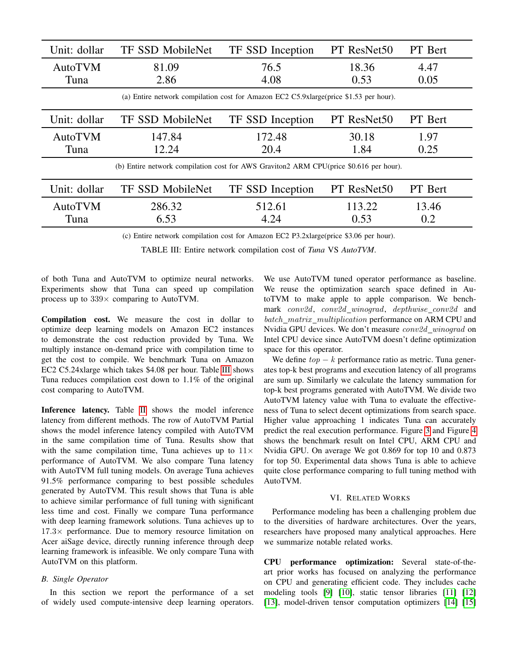<span id="page-8-0"></span>

| Unit: dollar                                                                           | <b>TF SSD MobileNet</b> | TF SSD Inception | PT ResNet50 | PT Bert        |  |
|----------------------------------------------------------------------------------------|-------------------------|------------------|-------------|----------------|--|
| AutoTVM                                                                                | 81.09                   | 76.5             | 18.36       | 4.47           |  |
| Tuna                                                                                   | 2.86                    | 4.08             | 0.53        | 0.05           |  |
| (a) Entire network compilation cost for Amazon EC2 C5.9xlarge (price \$1.53 per hour). |                         |                  |             |                |  |
| Unit: dollar                                                                           | <b>TF SSD MobileNet</b> | TF SSD Inception | PT ResNet50 | PT Bert        |  |
| AutoTVM                                                                                | 147.84                  | 172.48           | 30.18       | 1.97           |  |
| Tuna                                                                                   | 12.24                   | 20.4             | 1.84        | 0.25           |  |
| (b) Entire network compilation cost for AWS Graviton2 ARM CPU(price \$0.616 per hour). |                         |                  |             |                |  |
| Unit: dollar                                                                           | <b>TF SSD MobileNet</b> | TF SSD Inception | PT ResNet50 | <b>PT</b> Bert |  |
| AutoTVM                                                                                | 286.32                  | 512.61           | 113.22      | 13.46          |  |
| Tuna                                                                                   | 6.53                    | 4.24             | 0.53        | 0.2            |  |

(c) Entire network compilation cost for Amazon EC2 P3.2xlarge(price \$3.06 per hour).

TABLE III: Entire network compilation cost of *Tuna* VS *AutoTVM*.

of both Tuna and AutoTVM to optimize neural networks. Experiments show that Tuna can speed up compilation process up to  $339\times$  comparing to AutoTVM.

Compilation cost. We measure the cost in dollar to optimize deep learning models on Amazon EC2 instances to demonstrate the cost reduction provided by Tuna. We multiply instance on-demand price with compilation time to get the cost to compile. We benchmark Tuna on Amazon EC2 C5.24xlarge which takes \$4.08 per hour. Table [III](#page-8-0) shows Tuna reduces compilation cost down to 1.1% of the original cost comparing to AutoTVM.

Inference latency. Table [II](#page-7-0) shows the model inference latency from different methods. The row of AutoTVM Partial shows the model inference latency compiled with AutoTVM in the same compilation time of Tuna. Results show that with the same compilation time, Tuna achieves up to  $11\times$ performance of AutoTVM. We also compare Tuna latency with AutoTVM full tuning models. On average Tuna achieves 91.5% performance comparing to best possible schedules generated by AutoTVM. This result shows that Tuna is able to achieve similar performance of full tuning with significant less time and cost. Finally we compare Tuna performance with deep learning framework solutions. Tuna achieves up to  $17.3\times$  performance. Due to memory resource limitation on Acer aiSage device, directly running inference through deep learning framework is infeasible. We only compare Tuna with AutoTVM on this platform.

# *B. Single Operator*

In this section we report the performance of a set of widely used compute-intensive deep learning operators.

We use AutoTVM tuned operator performance as baseline. We reuse the optimization search space defined in AutoTVM to make apple to apple comparison. We benchmark conv2d, conv2d\_winograd, depthwise\_conv2d and batch\_matrix\_multiplication performance on ARM CPU and Nvidia GPU devices. We don't measure conv2d\_winograd on Intel CPU device since AutoTVM doesn't define optimization space for this operator.

We define  $top - k$  performance ratio as metric. Tuna generates top-k best programs and execution latency of all programs are sum up. Similarly we calculate the latency summation for top-k best programs generated with AutoTVM. We divide two AutoTVM latency value with Tuna to evaluate the effectiveness of Tuna to select decent optimizations from search space. Higher value approaching 1 indicates Tuna can accurately predict the real execution performance. Figure [3](#page-5-1) and Figure [4](#page-9-2) shows the benchmark result on Intel CPU, ARM CPU and Nvidia GPU. On average We got 0.869 for top 10 and 0.873 for top 50. Experimental data shows Tuna is able to achieve quite close performance comparing to full tuning method with AutoTVM.

# VI. RELATED WORKS

Performance modeling has been a challenging problem due to the diversities of hardware architectures. Over the years, researchers have proposed many analytical approaches. Here we summarize notable related works.

CPU performance optimization: Several state-of-theart prior works has focused on analyzing the performance on CPU and generating efficient code. They includes cache modeling tools [\[9\]](#page-10-6) [\[10\]](#page-10-7), static tensor libraries [\[11\]](#page-10-8) [\[12\]](#page-10-9) [\[13\]](#page-10-10), model-driven tensor computation optimizers [\[14\]](#page-10-11) [\[15\]](#page-10-12)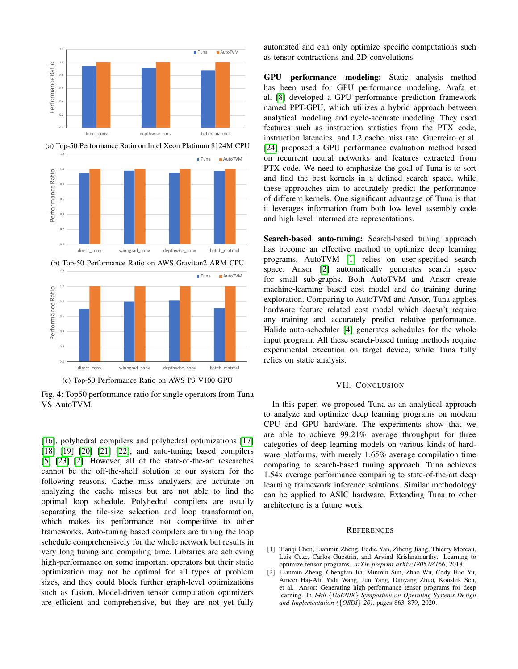<span id="page-9-2"></span>

(a) Top-50 Performance Ratio on Intel Xeon Platinum 8124M CPU



Fig. 4: Top50 performance ratio for single operators from Tuna VS AutoTVM.

[\[16\]](#page-10-13), polyhedral compilers and polyhedral optimizations [\[17\]](#page-10-14) [\[18\]](#page-10-15) [\[19\]](#page-10-16) [\[20\]](#page-10-17) [\[21\]](#page-10-18) [\[22\]](#page-10-19), and auto-tuning based compilers [\[5\]](#page-10-2) [\[23\]](#page-10-20) [\[2\]](#page-9-1). However, all of the state-of-the-art researches cannot be the off-the-shelf solution to our system for the following reasons. Cache miss analyzers are accurate on analyzing the cache misses but are not able to find the optimal loop schedule. Polyhedral compilers are usually separating the tile-size selection and loop transformation, which makes its performance not competitive to other frameworks. Auto-tuning based compilers are tuning the loop schedule comprehensively for the whole network but results in very long tuning and compiling time. Libraries are achieving high-performance on some important operators but their static optimization may not be optimal for all types of problem sizes, and they could block further graph-level optimizations such as fusion. Model-driven tensor computation optimizers are efficient and comprehensive, but they are not yet fully automated and can only optimize specific computations such as tensor contractions and 2D convolutions.

GPU performance modeling: Static analysis method has been used for GPU performance modeling. Arafa et al. [\[8\]](#page-10-5) developed a GPU performance prediction framework named PPT-GPU, which utilizes a hybrid approach between analytical modeling and cycle-accurate modeling. They used features such as instruction statistics from the PTX code, instruction latencies, and L2 cache miss rate. Guerreiro et al. [\[24\]](#page-10-21) proposed a GPU performance evaluation method based on recurrent neural networks and features extracted from PTX code. We need to emphasize the goal of Tuna is to sort and find the best kernels in a defined search space, while these approaches aim to accurately predict the performance of different kernels. One significant advantage of Tuna is that it leverages information from both low level assembly code and high level intermediate representations.

Search-based auto-tuning: Search-based tuning approach has become an effective method to optimize deep learning programs. AutoTVM [\[1\]](#page-9-0) relies on user-specified search space. Ansor [\[2\]](#page-9-1) automatically generates search space for small sub-graphs. Both AutoTVM and Ansor create machine-learning based cost model and do training during exploration. Comparing to AutoTVM and Ansor, Tuna applies hardware feature related cost model which doesn't require any training and accurately predict relative performance. Halide auto-scheduler [\[4\]](#page-10-1) generates schedules for the whole input program. All these search-based tuning methods require experimental execution on target device, while Tuna fully relies on static analysis.

### VII. CONCLUSION

In this paper, we proposed Tuna as an analytical approach to analyze and optimize deep learning programs on modern CPU and GPU hardware. The experiments show that we are able to achieve 99.21% average throughput for three categories of deep learning models on various kinds of hardware platforms, with merely 1.65% average compilation time comparing to search-based tuning approach. Tuna achieves 1.54x average performance comparing to state-of-the-art deep learning framework inference solutions. Similar methodology can be applied to ASIC hardware. Extending Tuna to other architecture is a future work.

#### **REFERENCES**

- <span id="page-9-0"></span>[1] Tianqi Chen, Lianmin Zheng, Eddie Yan, Ziheng Jiang, Thierry Moreau, Luis Ceze, Carlos Guestrin, and Arvind Krishnamurthy. Learning to optimize tensor programs. *arXiv preprint arXiv:1805.08166*, 2018.
- <span id="page-9-1"></span>[2] Lianmin Zheng, Chengfan Jia, Minmin Sun, Zhao Wu, Cody Hao Yu, Ameer Haj-Ali, Yida Wang, Jun Yang, Danyang Zhuo, Koushik Sen, et al. Ansor: Generating high-performance tensor programs for deep learning. In *14th* {*USENIX*} *Symposium on Operating Systems Design and Implementation (*{*OSDI*} *20)*, pages 863–879, 2020.